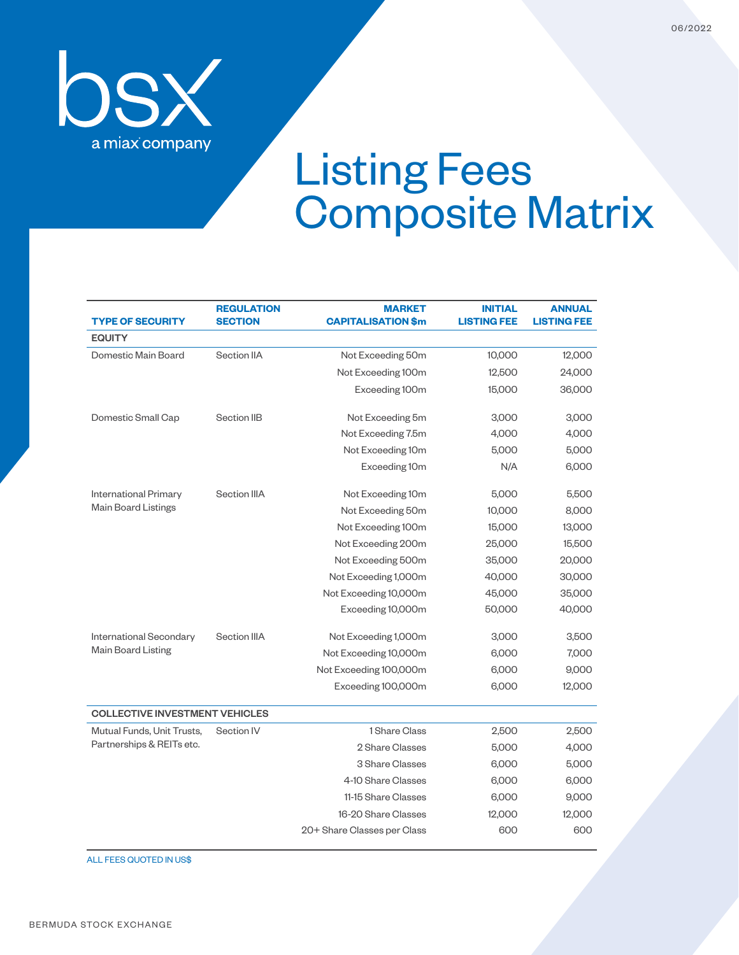

## Listing Fees Composite Matrix

| <b>TYPE OF SECURITY</b>                                    | <b>REGULATION</b><br><b>SECTION</b> | <b>MARKET</b><br><b>CAPITALISATION \$m</b> | <b>INITIAL</b><br><b>LISTING FEE</b> | ANNUAL<br><b>LISTING FEE</b> |  |  |  |  |
|------------------------------------------------------------|-------------------------------------|--------------------------------------------|--------------------------------------|------------------------------|--|--|--|--|
| <b>EQUITY</b>                                              |                                     |                                            |                                      |                              |  |  |  |  |
| Domestic Main Board                                        | Section IIA                         | Not Exceeding 50m                          | 10,000                               | 12,000                       |  |  |  |  |
|                                                            |                                     | Not Exceeding 100m                         | 12,500                               | 24,000                       |  |  |  |  |
|                                                            |                                     | Exceeding 100m                             | 15,000                               | 36,000                       |  |  |  |  |
| Domestic Small Cap                                         | Section IIB                         | Not Exceeding 5m                           | 3,000                                | 3,000                        |  |  |  |  |
|                                                            |                                     | Not Exceeding 7.5m                         | 4,000                                | 4,000                        |  |  |  |  |
|                                                            |                                     | Not Exceeding 10m                          | 5,000                                | 5,000                        |  |  |  |  |
|                                                            |                                     | Exceeding 10m                              | N/A                                  | 6,000                        |  |  |  |  |
| <b>International Primary</b><br><b>Main Board Listings</b> | Section IIIA                        | Not Exceeding 10m                          | 5,000                                | 5,500                        |  |  |  |  |
|                                                            |                                     | Not Exceeding 50m                          | 10,000                               | 8,000                        |  |  |  |  |
|                                                            |                                     | Not Exceeding 100m                         | 15,000                               | 13,000                       |  |  |  |  |
|                                                            |                                     | Not Exceeding 200m                         | 25,000                               | 15,500                       |  |  |  |  |
|                                                            |                                     | Not Exceeding 500m                         | 35,000                               | 20,000                       |  |  |  |  |
|                                                            |                                     | Not Exceeding 1,000m                       | 40,000                               | 30,000                       |  |  |  |  |
|                                                            |                                     | Not Exceeding 10,000m                      | 45,000                               | 35,000                       |  |  |  |  |
|                                                            |                                     | Exceeding 10,000m                          | 50,000                               | 40,000                       |  |  |  |  |
| International Secondary<br><b>Main Board Listing</b>       | Section IIIA                        | Not Exceeding 1,000m                       | 3,000                                | 3,500                        |  |  |  |  |
|                                                            |                                     | Not Exceeding 10,000m                      | 6,000                                | 7,000                        |  |  |  |  |
|                                                            |                                     | Not Exceeding 100,000m                     | 6,000                                | 9,000                        |  |  |  |  |
|                                                            |                                     | Exceeding 100,000m                         | 6,000                                | 12,000                       |  |  |  |  |
| <b>COLLECTIVE INVESTMENT VEHICLES</b>                      |                                     |                                            |                                      |                              |  |  |  |  |
| Mutual Funds, Unit Trusts,<br>Partnerships & REITs etc.    | Section IV                          | 1 Share Class                              | 2,500                                | 2,500                        |  |  |  |  |
|                                                            |                                     | 2 Share Classes                            | 5,000                                | 4,000                        |  |  |  |  |
|                                                            |                                     | 3 Share Classes                            | 6,000                                | 5,000                        |  |  |  |  |
|                                                            |                                     | 4-10 Share Classes                         | 6,000                                | 6,000                        |  |  |  |  |
|                                                            |                                     | 11-15 Share Classes                        | 6,000                                | 9,000                        |  |  |  |  |
|                                                            |                                     | 16-20 Share Classes                        | 12,000                               | 12,000                       |  |  |  |  |
|                                                            |                                     | 20+ Share Classes per Class                | 600                                  | 600                          |  |  |  |  |

ALL FEES QUOTED IN US\$